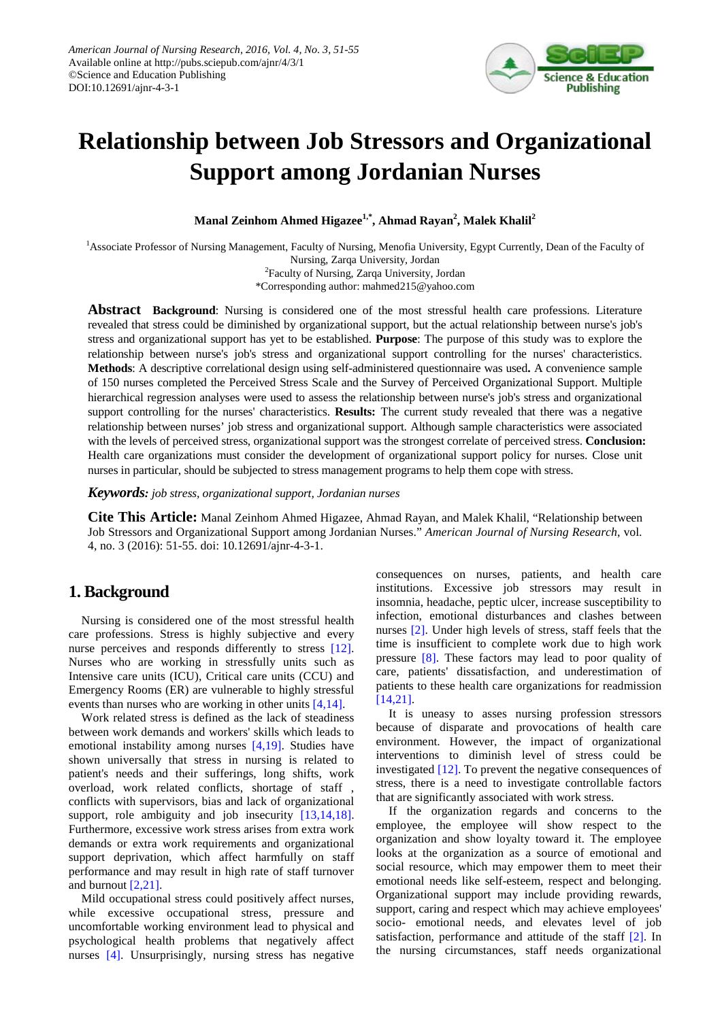

# **Relationship between Job Stressors and Organizational Support among Jordanian Nurses**

**Manal Zeinhom Ahmed Higazee1,\* , Ahmad Rayan2 , Malek Khalil<sup>2</sup>**

<sup>1</sup>Associate Professor of Nursing Management, Faculty of Nursing, Menofia University, Egypt Currently, Dean of the Faculty of Nursing, Zarqa University, Jordan

<sup>2</sup> Faculty of Nursing, Zarqa University, Jordan

\*Corresponding author: mahmed215@yahoo.com

**Abstract Background**: Nursing is considered one of the most stressful health care professions. Literature revealed that stress could be diminished by organizational support, but the actual relationship between nurse's job's stress and organizational support has yet to be established. **Purpose**: The purpose of this study was to explore the relationship between nurse's job's stress and organizational support controlling for the nurses' characteristics. **Methods**: A descriptive correlational design using self-administered questionnaire was used**.** A convenience sample of 150 nurses completed the Perceived Stress Scale and the Survey of Perceived Organizational Support. Multiple hierarchical regression analyses were used to assess the relationship between nurse's job's stress and organizational support controlling for the nurses' characteristics. **Results:** The current study revealed that there was a negative relationship between nurses' job stress and organizational support. Although sample characteristics were associated with the levels of perceived stress, organizational support was the strongest correlate of perceived stress. **Conclusion:**  Health care organizations must consider the development of organizational support policy for nurses. Close unit nurses in particular, should be subjected to stress management programs to help them cope with stress.

*Keywords: job stress, organizational support, Jordanian nurses*

**Cite This Article:** Manal Zeinhom Ahmed Higazee, Ahmad Rayan, and Malek Khalil, "Relationship between Job Stressors and Organizational Support among Jordanian Nurses." *American Journal of Nursing Research*, vol. 4, no. 3 (2016): 51-55. doi: 10.12691/ajnr-4-3-1.

# **1. Background**

Nursing is considered one of the most stressful health care professions. Stress is highly subjective and every nurse perceives and responds differently to stress [\[12\].](#page-4-0) Nurses who are working in stressfully units such as Intensive care units (ICU), Critical care units (CCU) and Emergency Rooms (ER) are vulnerable to highly stressful events than nurses who are working in other units [\[4,14\].](#page-4-1)

Work related stress is defined as the lack of steadiness between work demands and workers' skills which leads to emotional instability among nurses [\[4,19\].](#page-4-1) Studies have shown universally that stress in nursing is related to patient's needs and their sufferings, long shifts, work overload, work related conflicts, shortage of staff , conflicts with supervisors, bias and lack of organizational support, role ambiguity and job insecurity [\[13,14,18\].](#page-4-2) Furthermore, excessive work stress arises from extra work demands or extra work requirements and organizational support deprivation, which affect harmfully on staff performance and may result in high rate of staff turnover and burnout [\[2,21\].](#page-4-3) 

Mild occupational stress could positively affect nurses, while excessive occupational stress, pressure and uncomfortable working environment lead to physical and psychological health problems that negatively affect nurses [\[4\].](#page-4-1) Unsurprisingly, nursing stress has negative

consequences on nurses, patients, and health care institutions. Excessive job stressors may result in insomnia, headache, peptic ulcer, increase susceptibility to infection, emotional disturbances and clashes between nurses [\[2\].](#page-4-3) Under high levels of stress, staff feels that the time is insufficient to complete work due to high work pressure [\[8\].](#page-4-4) These factors may lead to poor quality of care, patients' dissatisfaction, and underestimation of patients to these health care organizations for readmission [\[14,21\].](#page-4-5)

It is uneasy to asses nursing profession stressors because of disparate and provocations of health care environment. However, the impact of organizational interventions to diminish level of stress could be investigated [\[12\].](#page-4-0) To prevent the negative consequences of stress, there is a need to investigate controllable factors that are significantly associated with work stress.

If the organization regards and concerns to the employee, the employee will show respect to the organization and show loyalty toward it. The employee looks at the organization as a source of emotional and social resource, which may empower them to meet their emotional needs like self-esteem, respect and belonging. Organizational support may include providing rewards, support, caring and respect which may achieve employees' socio- emotional needs, and elevates level of job satisfaction, performance and attitude of the staff [\[2\].](#page-4-3) In the nursing circumstances, staff needs organizational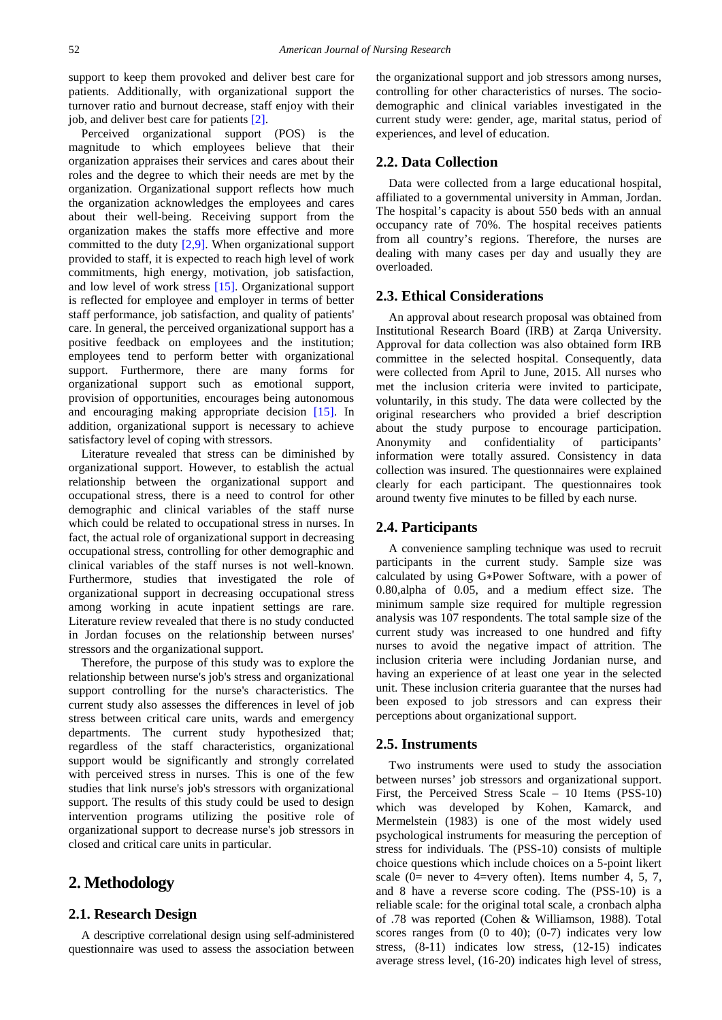support to keep them provoked and deliver best care for patients. Additionally, with organizational support the turnover ratio and burnout decrease, staff enjoy with their job, and deliver best care for patients [\[2\].](#page-4-3)

Perceived organizational support (POS) is the magnitude to which employees believe that their organization appraises their services and cares about their roles and the degree to which their needs are met by the organization. Organizational support reflects how much the organization acknowledges the employees and cares about their well-being. Receiving support from the organization makes the staffs more effective and more committed to the duty [\[2,9\].](#page-4-3) When organizational support provided to staff, it is expected to reach high level of work commitments, high energy, motivation, job satisfaction, and low level of work stress [\[15\].](#page-4-6) Organizational support is reflected for employee and employer in terms of better staff performance, job satisfaction, and quality of patients' care. In general, the perceived organizational support has a positive feedback on employees and the institution; employees tend to perform better with organizational support. Furthermore, there are many forms for organizational support such as emotional support, provision of opportunities, encourages being autonomous and encouraging making appropriate decision [\[15\].](#page-4-6) In addition, organizational support is necessary to achieve satisfactory level of coping with stressors.

Literature revealed that stress can be diminished by organizational support. However, to establish the actual relationship between the organizational support and occupational stress, there is a need to control for other demographic and clinical variables of the staff nurse which could be related to occupational stress in nurses. In fact, the actual role of organizational support in decreasing occupational stress, controlling for other demographic and clinical variables of the staff nurses is not well-known. Furthermore, studies that investigated the role of organizational support in decreasing occupational stress among working in acute inpatient settings are rare. Literature review revealed that there is no study conducted in Jordan focuses on the relationship between nurses' stressors and the organizational support.

Therefore, the purpose of this study was to explore the relationship between nurse's job's stress and organizational support controlling for the nurse's characteristics. The current study also assesses the differences in level of job stress between critical care units, wards and emergency departments. The current study hypothesized that; regardless of the staff characteristics, organizational support would be significantly and strongly correlated with perceived stress in nurses. This is one of the few studies that link nurse's job's stressors with organizational support. The results of this study could be used to design intervention programs utilizing the positive role of organizational support to decrease nurse's job stressors in closed and critical care units in particular.

## **2. Methodology**

#### **2.1. Research Design**

A descriptive correlational design using self-administered questionnaire was used to assess the association between the organizational support and job stressors among nurses, controlling for other characteristics of nurses. The sociodemographic and clinical variables investigated in the current study were: gender, age, marital status, period of experiences, and level of education.

#### **2.2. Data Collection**

Data were collected from a large educational hospital, affiliated to a governmental university in Amman, Jordan. The hospital's capacity is about 550 beds with an annual occupancy rate of 70%. The hospital receives patients from all country's regions. Therefore, the nurses are dealing with many cases per day and usually they are overloaded.

#### **2.3. Ethical Considerations**

An approval about research proposal was obtained from Institutional Research Board (IRB) at Zarqa University. Approval for data collection was also obtained form IRB committee in the selected hospital. Consequently, data were collected from April to June, 2015. All nurses who met the inclusion criteria were invited to participate, voluntarily, in this study. The data were collected by the original researchers who provided a brief description about the study purpose to encourage participation. Anonymity and confidentiality of participants' information were totally assured. Consistency in data collection was insured. The questionnaires were explained clearly for each participant. The questionnaires took around twenty five minutes to be filled by each nurse.

#### **2.4. Participants**

A convenience sampling technique was used to recruit participants in the current study. Sample size was calculated by using G∗Power Software, with a power of 0.80,alpha of 0.05, and a medium effect size. The minimum sample size required for multiple regression analysis was 107 respondents. The total sample size of the current study was increased to one hundred and fifty nurses to avoid the negative impact of attrition. The inclusion criteria were including Jordanian nurse, and having an experience of at least one year in the selected unit. These inclusion criteria guarantee that the nurses had been exposed to job stressors and can express their perceptions about organizational support.

#### **2.5. Instruments**

Two instruments were used to study the association between nurses' job stressors and organizational support. First, the Perceived Stress Scale – 10 Items (PSS-10) which was developed by Kohen, Kamarck, and Mermelstein (1983) is one of the most widely used psychological instruments for measuring the perception of stress for individuals. The (PSS-10) consists of multiple choice questions which include choices on a 5-point likert scale (0= never to 4=very often). Items number 4, 5, 7, and 8 have a reverse score coding. The (PSS-10) is a reliable scale: for the original total scale, a cronbach alpha of .78 was reported (Cohen & Williamson, 1988). Total scores ranges from  $(0 \text{ to } 40)$ ;  $(0-7)$  indicates very low stress, (8-11) indicates low stress, (12-15) indicates average stress level, (16-20) indicates high level of stress,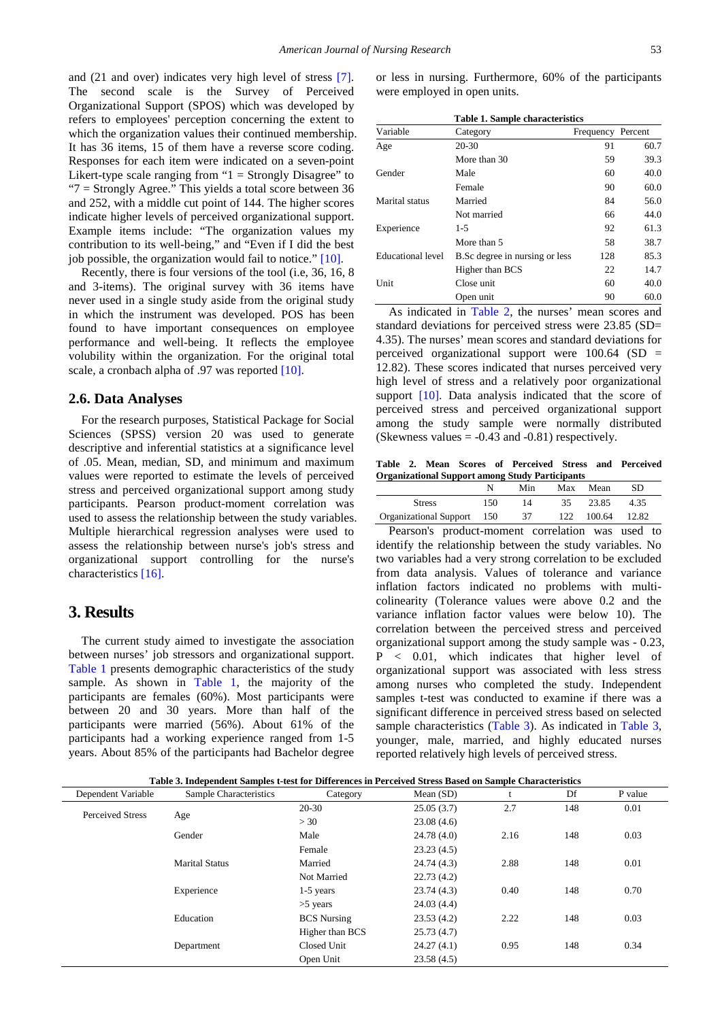and (21 and over) indicates very high level of stress [\[7\].](#page-4-7) The second scale is the Survey of Perceived Organizational Support (SPOS) which was developed by refers to employees' perception concerning the extent to which the organization values their continued membership. It has 36 items, 15 of them have a reverse score coding. Responses for each item were indicated on a seven-point Likert-type scale ranging from " $1 =$  Strongly Disagree" to "7 = Strongly Agree." This yields a total score between 36 and 252, with a middle cut point of 144. The higher scores indicate higher levels of perceived organizational support. Example items include: "The organization values my contribution to its well-being," and "Even if I did the best job possible, the organization would fail to notice." [\[10\].](#page-4-8)

Recently, there is four versions of the tool (i.e, 36, 16, 8 and 3-items). The original survey with 36 items have never used in a single study aside from the original study in which the instrument was developed. POS has been found to have important consequences on employee performance and well-being. It reflects the employee volubility within the organization. For the original total scale, a cronbach alpha of .97 was reporte[d \[10\].](#page-4-8)

#### **2.6. Data Analyses**

For the research purposes, Statistical Package for Social Sciences (SPSS) version 20 was used to generate descriptive and inferential statistics at a significance level of .05. Mean, median, SD, and minimum and maximum values were reported to estimate the levels of perceived stress and perceived organizational support among study participants. Pearson product-moment correlation was used to assess the relationship between the study variables. Multiple hierarchical regression analyses were used to assess the relationship between nurse's job's stress and organizational support controlling for the nurse's characteristics [\[16\].](#page-4-9)

### **3. Results**

The current study aimed to investigate the association between nurses' job stressors and organizational support. [Table 1](#page-2-0) presents demographic characteristics of the study sample. As shown in [Table 1,](#page-2-0) the majority of the participants are females (60%). Most participants were between 20 and 30 years. More than half of the participants were married (56%). About 61% of the participants had a working experience ranged from 1-5 years. About 85% of the participants had Bachelor degree or less in nursing. Furthermore, 60% of the participants were employed in open units.

<span id="page-2-0"></span>

|                          | <b>Table 1. Sample characteristics</b> |                   |      |
|--------------------------|----------------------------------------|-------------------|------|
| Variable                 | Category                               | Frequency Percent |      |
| Age                      | 20-30                                  | 91                | 60.7 |
|                          | More than 30                           | 59                | 39.3 |
| Gender                   | Male                                   | 60                | 40.0 |
|                          | Female                                 | 90                | 60.0 |
| Marital status           | Married                                | 84                | 56.0 |
|                          | Not married                            | 66                | 44.0 |
| Experience               | 1-5                                    | 92                | 61.3 |
|                          | More than 5                            | 58                | 38.7 |
| <b>Educational level</b> | B.Sc degree in nursing or less         | 128               | 85.3 |
|                          | Higher than BCS                        | 22                | 14.7 |
| Unit                     | Close unit                             | 60                | 40.0 |
|                          | Open unit                              | 90                | 60.0 |

As indicated in [Table 2,](#page-2-1) the nurses' mean scores and standard deviations for perceived stress were 23.85 (SD= 4.35). The nurses' mean scores and standard deviations for perceived organizational support were  $100.64$  (SD = 12.82). These scores indicated that nurses perceived very high level of stress and a relatively poor organizational support [\[10\].](#page-4-8) Data analysis indicated that the score of perceived stress and perceived organizational support among the study sample were normally distributed (Skewness values  $= -0.43$  and  $-0.81$ ) respectively.

**Table 2. Mean Scores of Perceived Stress and Perceived Organizational Support among Study Participants**

<span id="page-2-1"></span>

|                            |     | Min | Max | Mean   | SD.   |  |
|----------------------------|-----|-----|-----|--------|-------|--|
| <b>Stress</b>              | 150 | 14  | 35  | 23.85  | 4.35  |  |
| Organizational Support 150 |     | 37  | 122 | 100.64 | 12.82 |  |

Pearson's product-moment correlation was used to identify the relationship between the study variables. No two variables had a very strong correlation to be excluded from data analysis. Values of tolerance and variance inflation factors indicated no problems with multicolinearity (Tolerance values were above 0.2 and the variance inflation factor values were below 10). The correlation between the perceived stress and perceived organizational support among the study sample was - 0.23, P < 0.01, which indicates that higher level of organizational support was associated with less stress among nurses who completed the study. Independent samples t-test was conducted to examine if there was a significant difference in perceived stress based on selected sample characteristics [\(Table 3\)](#page-2-2). As indicated in [Table 3,](#page-2-2) younger, male, married, and highly educated nurses reported relatively high levels of perceived stress.

|  |  | Table 3. Independent Samples t-test for Differences in Perceived Stress Based on Sample Characteristics |  |  |
|--|--|---------------------------------------------------------------------------------------------------------|--|--|
|--|--|---------------------------------------------------------------------------------------------------------|--|--|

<span id="page-2-2"></span>

| Dependent Variable      | Sample Characteristics | Category           | Mean $(SD)$ | τ.   | Df  | P value |
|-------------------------|------------------------|--------------------|-------------|------|-----|---------|
| <b>Perceived Stress</b> |                        | $20 - 30$          | 25.05(3.7)  | 2.7  | 148 | 0.01    |
|                         | Age                    | >30                | 23.08(4.6)  |      |     |         |
|                         | Gender                 | Male               | 24.78(4.0)  | 2.16 | 148 | 0.03    |
|                         |                        | Female             | 23.23(4.5)  |      |     |         |
|                         | <b>Marital Status</b>  | Married            | 24.74(4.3)  | 2.88 | 148 | 0.01    |
|                         |                        | Not Married        | 22.73(4.2)  |      |     |         |
|                         | Experience             | $1-5$ years        | 23.74(4.3)  | 0.40 | 148 | 0.70    |
|                         |                        | $>5$ years         | 24.03(4.4)  |      |     |         |
|                         | Education              | <b>BCS</b> Nursing | 23.53(4.2)  | 2.22 | 148 | 0.03    |
|                         |                        | Higher than BCS    | 25.73(4.7)  |      |     |         |
|                         | Department             | Closed Unit        | 24.27(4.1)  | 0.95 | 148 | 0.34    |
|                         |                        | Open Unit          | 23.58(4.5)  |      |     |         |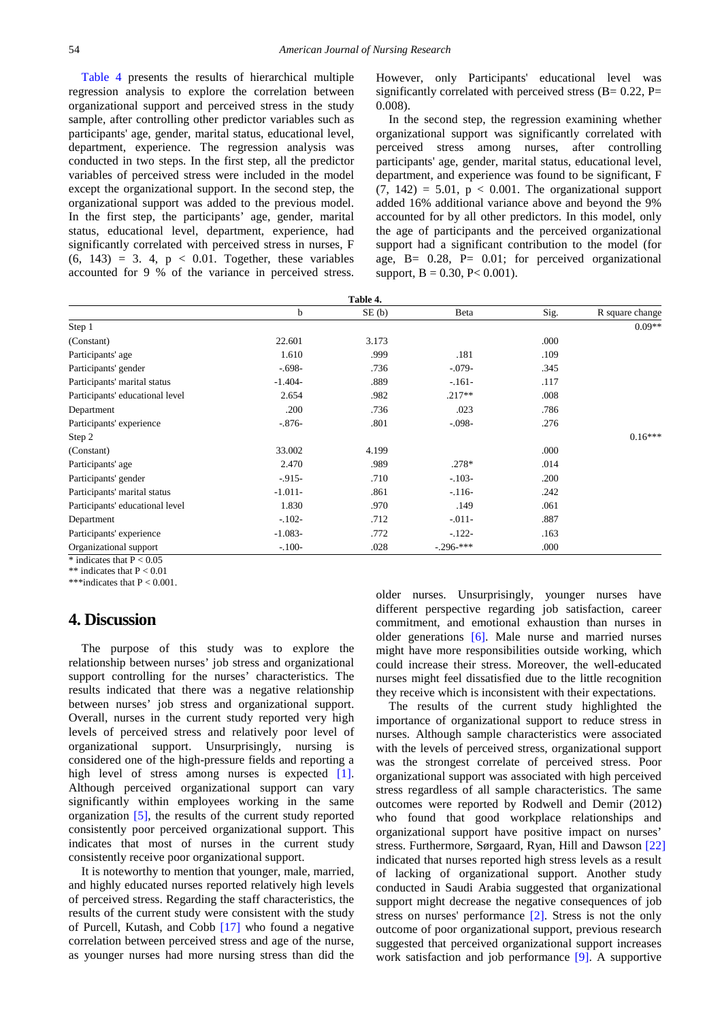[Table 4](#page-3-0) presents the results of hierarchical multiple regression analysis to explore the correlation between organizational support and perceived stress in the study sample, after controlling other predictor variables such as participants' age, gender, marital status, educational level, department, experience. The regression analysis was conducted in two steps. In the first step, all the predictor variables of perceived stress were included in the model except the organizational support. In the second step, the organizational support was added to the previous model. In the first step, the participants' age, gender, marital status, educational level, department, experience, had significantly correlated with perceived stress in nurses, F  $(6, 143) = 3$ . 4,  $p < 0.01$ . Together, these variables accounted for 9 % of the variance in perceived stress.

However, only Participants' educational level was significantly correlated with perceived stress  $(B= 0.22, P=$ 0.008).

In the second step, the regression examining whether organizational support was significantly correlated with perceived stress among nurses, after controlling participants' age, gender, marital status, educational level, department, and experience was found to be significant, F  $(7, 142) = 5.01$ ,  $p < 0.001$ . The organizational support added 16% additional variance above and beyond the 9% accounted for by all other predictors. In this model, only the age of participants and the perceived organizational support had a significant contribution to the model (for age,  $B = 0.28$ ,  $P = 0.01$ ; for perceived organizational support,  $B = 0.30$ ,  $P < 0.001$ ).

<span id="page-3-0"></span>

| Table 4.                        |           |       |                        |      |                 |
|---------------------------------|-----------|-------|------------------------|------|-----------------|
|                                 | b         | SE(b) | Beta                   | Sig. | R square change |
| Step 1                          |           |       |                        |      | $0.09**$        |
| (Constant)                      | 22.601    | 3.173 |                        | .000 |                 |
| Participants' age               | 1.610     | .999  | .181                   | .109 |                 |
| Participants' gender            | $-.698-$  | .736  | $-0.079-$              | .345 |                 |
| Participants' marital status    | $-1.404-$ | .889  | $-161-$                | .117 |                 |
| Participants' educational level | 2.654     | .982  | $.217**$               | .008 |                 |
| Department                      | .200      | .736  | .023                   | .786 |                 |
| Participants' experience        | $-.876-$  | .801  | $-.098-$               | .276 |                 |
| Step 2                          |           |       |                        |      | $0.16***$       |
| (Constant)                      | 33.002    | 4.199 |                        | .000 |                 |
| Participants' age               | 2.470     | .989  | $.278*$                | .014 |                 |
| Participants' gender            | $-0.915-$ | .710  | $-.103-$               | .200 |                 |
| Participants' marital status    | $-1.011-$ | .861  | $-116-$                | .242 |                 |
| Participants' educational level | 1.830     | .970  | .149                   | .061 |                 |
| Department                      | $-.102-$  | .712  | $-011-$                | .887 |                 |
| Participants' experience        | $-1.083-$ | .772  | $-122-$                | .163 |                 |
| Organizational support          | $-.100-$  | .028  | $-.296$ <sup>***</sup> | .000 |                 |
| $*$ indicates that $P < 0.05$   |           |       |                        |      |                 |

\*\* indicates that  $P < 0.01$ \*\*\*indicates that P < 0.001.

## **4. Discussion**

The purpose of this study was to explore the relationship between nurses' job stress and organizational support controlling for the nurses' characteristics. The results indicated that there was a negative relationship between nurses' job stress and organizational support. Overall, nurses in the current study reported very high levels of perceived stress and relatively poor level of organizational support. Unsurprisingly, nursing is considered one of the high-pressure fields and reporting a high level of stress among nurses is expected [\[1\].](#page-4-10) Although perceived organizational support can vary significantly within employees working in the same organization [\[5\],](#page-4-11) the results of the current study reported consistently poor perceived organizational support. This indicates that most of nurses in the current study consistently receive poor organizational support.

It is noteworthy to mention that younger, male, married, and highly educated nurses reported relatively high levels of perceived stress. Regarding the staff characteristics, the results of the current study were consistent with the study of Purcell, Kutash, and Cobb [\[17\]](#page-4-12) who found a negative correlation between perceived stress and age of the nurse, as younger nurses had more nursing stress than did the

older nurses. Unsurprisingly, younger nurses have different perspective regarding job satisfaction, career commitment, and emotional exhaustion than nurses in older generations [\[6\].](#page-4-13) Male nurse and married nurses might have more responsibilities outside working, which could increase their stress. Moreover, the well-educated nurses might feel dissatisfied due to the little recognition they receive which is inconsistent with their expectations.

The results of the current study highlighted the importance of organizational support to reduce stress in nurses. Although sample characteristics were associated with the levels of perceived stress, organizational support was the strongest correlate of perceived stress. Poor organizational support was associated with high perceived stress regardless of all sample characteristics. The same outcomes were reported by Rodwell and Demir (2012) who found that good workplace relationships and organizational support have positive impact on nurses' stress. Furthermore, Sørgaard, Ryan, Hill and Dawson [\[22\]](#page-4-14) indicated that nurses reported high stress levels as a result of lacking of organizational support. Another study conducted in Saudi Arabia suggested that organizational support might decrease the negative consequences of job stress on nurses' performance [\[2\].](#page-4-3) Stress is not the only outcome of poor organizational support, previous research suggested that perceived organizational support increases work satisfaction and job performance [\[9\].](#page-4-15) A supportive